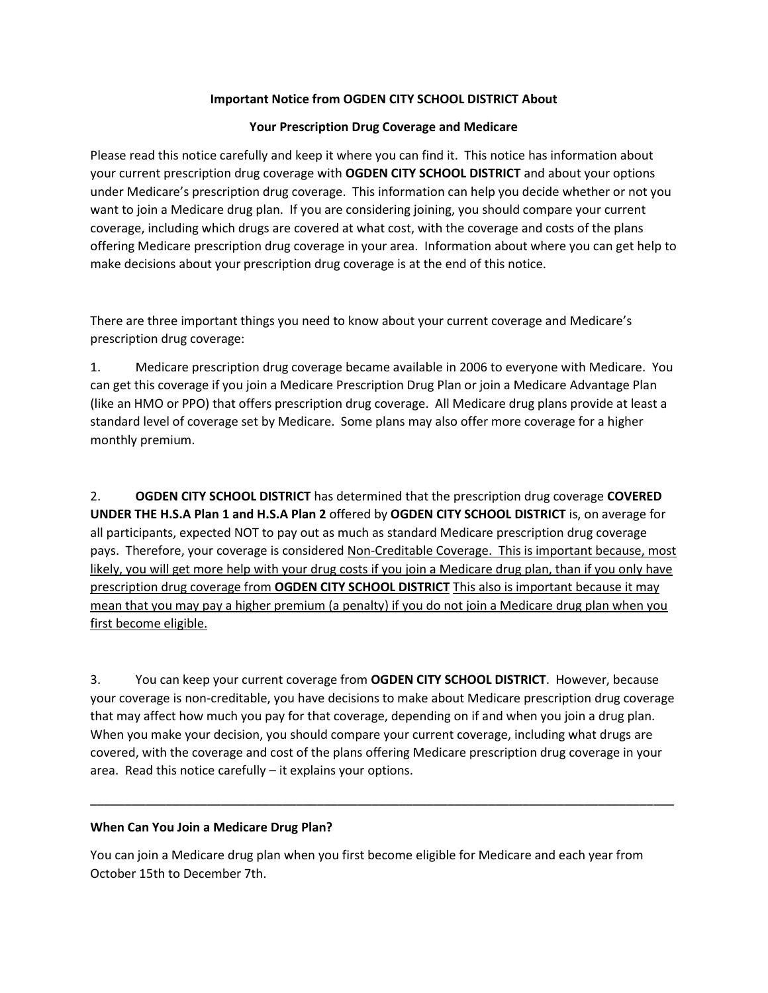## **Important Notice from OGDEN CITY SCHOOL DISTRICT About**

### **Your Prescription Drug Coverage and Medicare**

Please read this notice carefully and keep it where you can find it. This notice has information about your current prescription drug coverage with **OGDEN CITY SCHOOL DISTRICT** and about your options under Medicare's prescription drug coverage. This information can help you decide whether or not you want to join a Medicare drug plan. If you are considering joining, you should compare your current coverage, including which drugs are covered at what cost, with the coverage and costs of the plans offering Medicare prescription drug coverage in your area. Information about where you can get help to make decisions about your prescription drug coverage is at the end of this notice.

There are three important things you need to know about your current coverage and Medicare's prescription drug coverage:

1. Medicare prescription drug coverage became available in 2006 to everyone with Medicare. You can get this coverage if you join a Medicare Prescription Drug Plan or join a Medicare Advantage Plan (like an HMO or PPO) that offers prescription drug coverage. All Medicare drug plans provide at least a standard level of coverage set by Medicare. Some plans may also offer more coverage for a higher monthly premium.

2. **OGDEN CITY SCHOOL DISTRICT** has determined that the prescription drug coverage **COVERED UNDER THE H.S.A Plan 1 and H.S.A Plan 2** offered by **OGDEN CITY SCHOOL DISTRICT** is, on average for all participants, expected NOT to pay out as much as standard Medicare prescription drug coverage pays. Therefore, your coverage is considered Non-Creditable Coverage. This is important because, most likely, you will get more help with your drug costs if you join a Medicare drug plan, than if you only have prescription drug coverage from **OGDEN CITY SCHOOL DISTRICT** This also is important because it may mean that you may pay a higher premium (a penalty) if you do not join a Medicare drug plan when you first become eligible.

3. You can keep your current coverage from **OGDEN CITY SCHOOL DISTRICT**. However, because your coverage is non-creditable, you have decisions to make about Medicare prescription drug coverage that may affect how much you pay for that coverage, depending on if and when you join a drug plan. When you make your decision, you should compare your current coverage, including what drugs are covered, with the coverage and cost of the plans offering Medicare prescription drug coverage in your area. Read this notice carefully – it explains your options.

\_\_\_\_\_\_\_\_\_\_\_\_\_\_\_\_\_\_\_\_\_\_\_\_\_\_\_\_\_\_\_\_\_\_\_\_\_\_\_\_\_\_\_\_\_\_\_\_\_\_\_\_\_\_\_\_\_\_\_\_\_\_\_\_\_\_\_\_\_\_\_\_\_\_\_\_\_\_\_\_\_\_\_\_\_

# **When Can You Join a Medicare Drug Plan?**

You can join a Medicare drug plan when you first become eligible for Medicare and each year from October 15th to December 7th.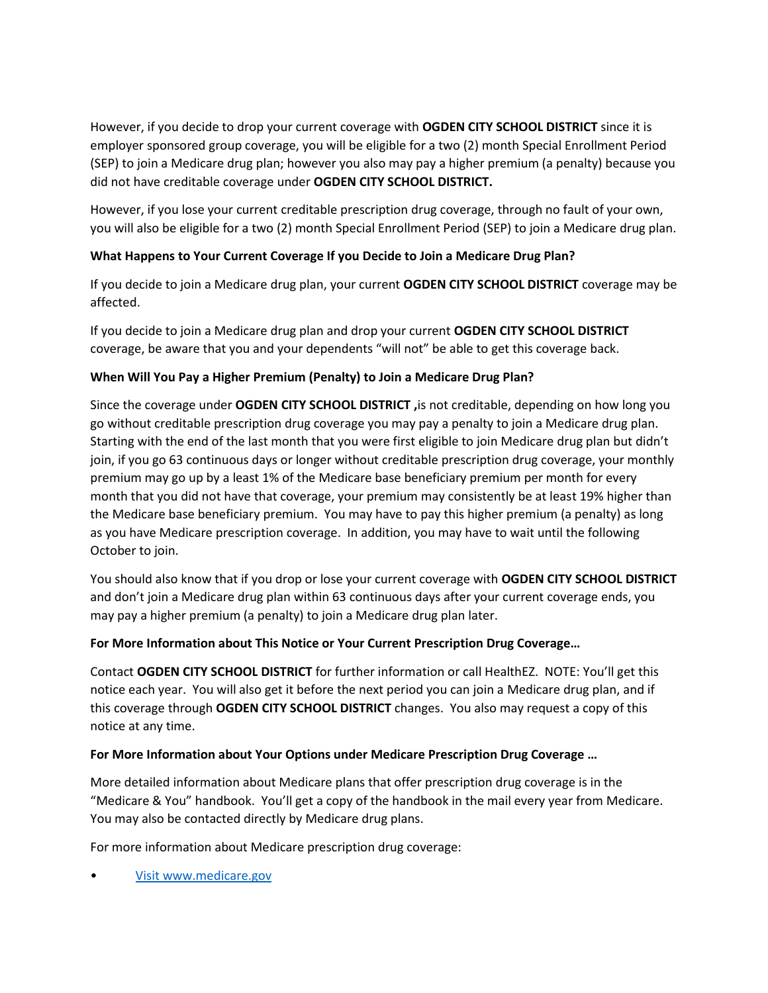However, if you decide to drop your current coverage with **OGDEN CITY SCHOOL DISTRICT** since it is employer sponsored group coverage, you will be eligible for a two (2) month Special Enrollment Period (SEP) to join a Medicare drug plan; however you also may pay a higher premium (a penalty) because you did not have creditable coverage under **OGDEN CITY SCHOOL DISTRICT.**

However, if you lose your current creditable prescription drug coverage, through no fault of your own, you will also be eligible for a two (2) month Special Enrollment Period (SEP) to join a Medicare drug plan.

# **What Happens to Your Current Coverage If you Decide to Join a Medicare Drug Plan?**

If you decide to join a Medicare drug plan, your current **OGDEN CITY SCHOOL DISTRICT** coverage may be affected.

If you decide to join a Medicare drug plan and drop your current **OGDEN CITY SCHOOL DISTRICT** coverage, be aware that you and your dependents "will not" be able to get this coverage back.

## **When Will You Pay a Higher Premium (Penalty) to Join a Medicare Drug Plan?**

Since the coverage under **OGDEN CITY SCHOOL DISTRICT ,**is not creditable, depending on how long you go without creditable prescription drug coverage you may pay a penalty to join a Medicare drug plan. Starting with the end of the last month that you were first eligible to join Medicare drug plan but didn't join, if you go 63 continuous days or longer without creditable prescription drug coverage, your monthly premium may go up by a least 1% of the Medicare base beneficiary premium per month for every month that you did not have that coverage, your premium may consistently be at least 19% higher than the Medicare base beneficiary premium. You may have to pay this higher premium (a penalty) as long as you have Medicare prescription coverage. In addition, you may have to wait until the following October to join.

You should also know that if you drop or lose your current coverage with **OGDEN CITY SCHOOL DISTRICT** and don't join a Medicare drug plan within 63 continuous days after your current coverage ends, you may pay a higher premium (a penalty) to join a Medicare drug plan later.

#### **For More Information about This Notice or Your Current Prescription Drug Coverage…**

Contact **OGDEN CITY SCHOOL DISTRICT** for further information or call HealthEZ. NOTE: You'll get this notice each year. You will also get it before the next period you can join a Medicare drug plan, and if this coverage through **OGDEN CITY SCHOOL DISTRICT** changes. You also may request a copy of this notice at any time.

#### **For More Information about Your Options under Medicare Prescription Drug Coverage …**

More detailed information about Medicare plans that offer prescription drug coverage is in the "Medicare & You" handbook. You'll get a copy of the handbook in the mail every year from Medicare. You may also be contacted directly by Medicare drug plans.

For more information about Medicare prescription drug coverage:

• [Visit www.medicare.gov](file://///ARZSERVER11/DATA/ACCOUNT_MANAGEMENT/TPA%20Client%20Info/Medicare%20Part%20D%20Notices/2019/!MASTER%20EXCEL/Visit%20www.medicare.gov)